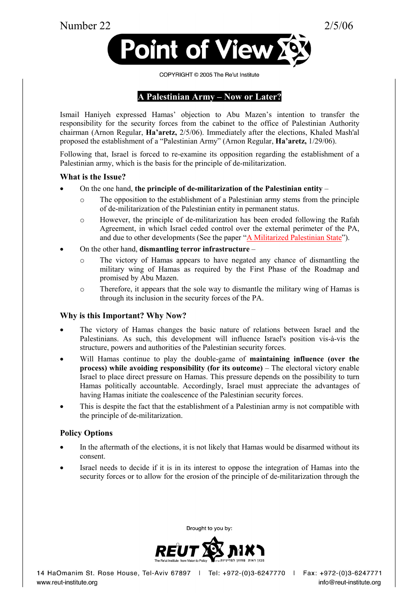Number 22 2/5/06





#### COPYRIGHT © 2005 The Re'ut Institute

# A Palestinian Army – Now or Later?

Ismail Haniyeh expressed Hamas' objection to Abu Mazen's intention to transfer the responsibility for the security forces from the cabinet to the office of Palestinian Authority chairman (Arnon Regular, Ha'aretz, 2/5/06). Immediately after the elections, Khaled Mash'al proposed the establishment of a "Palestinian Army" (Arnon Regular, Ha'aretz, 1/29/06).

Following that, Israel is forced to re-examine its opposition regarding the establishment of a Palestinian army, which is the basis for the principle of de-militarization.

### What is the Issue?

- On the one hand, the principle of de-militarization of the Palestinian entity  $$ 
	- o The opposition to the establishment of a Palestinian army stems from the principle of de-militarization of the Palestinian entity in permanent status.
	- o However, the principle of de-militarization has been eroded following the Rafah Agreement, in which Israel ceded control over the external perimeter of the PA, and due to other developments (See the paper ["A Militarized Palestinian State"](http://www.reut-institute.org/eng/resources/publications_item.asp?PublicationID=266)).
- On the other hand, **dismantling terror infrastructure**
	- o The victory of Hamas appears to have negated any chance of dismantling the military wing of Hamas as required by the First Phase of the Roadmap and promised by Abu Mazen.
	- o Therefore, it appears that the sole way to dismantle the military wing of Hamas is through its inclusion in the security forces of the PA.

## Why is this Important? Why Now?

- The victory of Hamas changes the basic nature of relations between Israel and the Palestinians. As such, this development will influence Israel's position vis-à-vis the structure, powers and authorities of the Palestinian security forces.
- Will Hamas continue to play the double-game of **maintaining influence (over the** process) while avoiding responsibility (for its outcome) – The electoral victory enable Israel to place direct pressure on Hamas. This pressure depends on the possibility to turn Hamas politically accountable. Accordingly, Israel must appreciate the advantages of having Hamas initiate the coalescence of the Palestinian security forces.
- This is despite the fact that the establishment of a Palestinian army is not compatible with the principle of de-militarization.

## Policy Options

- In the aftermath of the elections, it is not likely that Hamas would be disarmed without its consent.
- Israel needs to decide if it is in its interest to oppose the integration of Hamas into the security forces or to allow for the erosion of the principle of de-militarization through the



Brought to you by:

14 HaOmanim St. Rose House, Tel-Aviv 67897 | Tel: +972-(0)3-6247770 | Fax: +972-(0)3-6247771 www.reut-institute.org

info@reut-institute.org